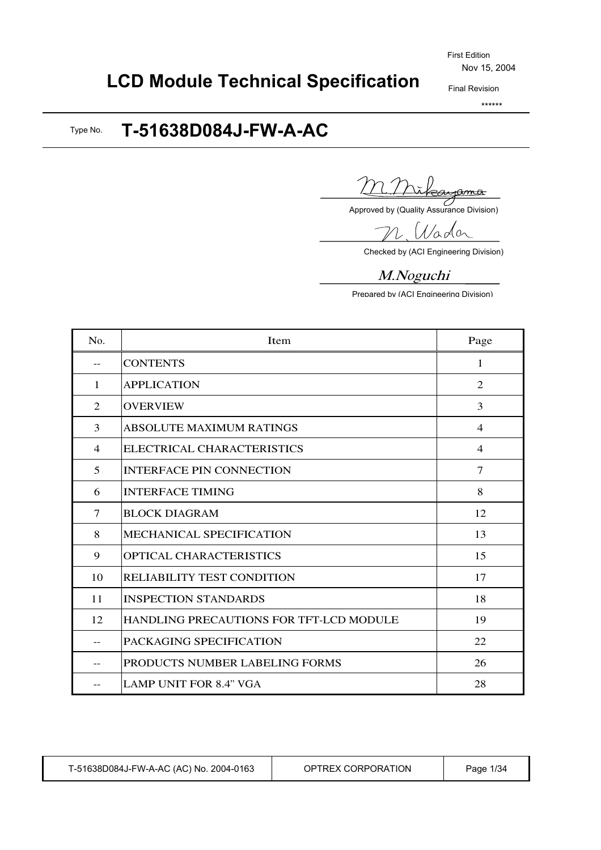#### Final Revision

\*\*\*\*\*\*

# **LCD Module Technical Specification**

#### **T-51638D084J-FW-A-AC** Type No.

<u>ima</u>

Approved by (Quality Assurance Division)

Nada

Checked by (ACI Engineering Division)

### M.Nogu<sup>c</sup>hi

Prepared by (ACI Engineering Division)

| No.            | Item                                    | Page           |
|----------------|-----------------------------------------|----------------|
|                | <b>CONTENTS</b>                         | 1              |
| 1              | <b>APPLICATION</b>                      | 2              |
| $\mathfrak{D}$ | <b>OVERVIEW</b>                         | 3              |
| 3              | <b>ABSOLUTE MAXIMUM RATINGS</b>         | $\overline{4}$ |
| $\overline{4}$ | ELECTRICAL CHARACTERISTICS              | $\overline{4}$ |
| 5              | <b>INTERFACE PIN CONNECTION</b>         | $\tau$         |
| 6              | <b>INTERFACE TIMING</b>                 | 8              |
| 7              | <b>BLOCK DIAGRAM</b>                    | 12             |
| 8              | MECHANICAL SPECIFICATION                | 13             |
| 9              | <b>OPTICAL CHARACTERISTICS</b>          | 15             |
| 10             | <b>RELIABILITY TEST CONDITION</b>       | 17             |
| 11             | <b>INSPECTION STANDARDS</b>             | 18             |
| 12             | HANDLING PRECAUTIONS FOR TFT-LCD MODULE | 19             |
|                | PACKAGING SPECIFICATION                 | 22             |
|                | <b>PRODUCTS NUMBER LABELING FORMS</b>   | 26             |
|                | <b>LAMP UNIT FOR 8.4" VGA</b>           | 28             |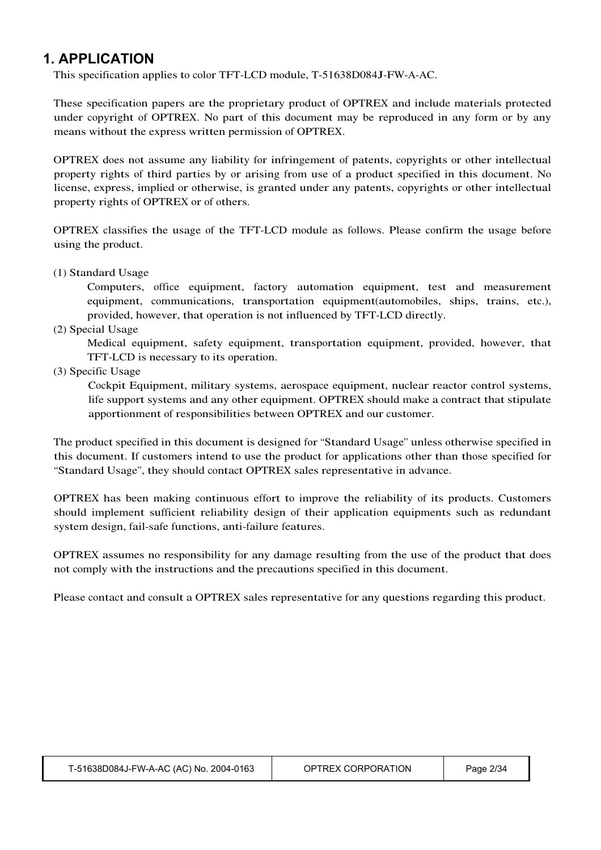### **1. APPLICATION**

This specification applies to color TFT-LCD module, T-51638D084J-FW-A-AC.

These specification papers are the proprietary product of OPTREX and include materials protected under copyright of OPTREX. No part of this document may be reproduced in any form or by any means without the express written permission of OPTREX.

OPTREX does not assume any liability for infringement of patents, copyrights or other intellectual property rights of third parties by or arising from use of a product specified in this document. No license, express, implied or otherwise, is granted under any patents, copyrights or other intellectual property rights of OPTREX or of others.

OPTREX classifies the usage of the TFT-LCD module as follows. Please confirm the usage before using the product.

(1) Standard Usage

Computers, office equipment, factory automation equipment, test and measurement equipment, communications, transportation equipment(automobiles, ships, trains, etc.), provided, however, that operation is not influenced by TFT-LCD directly.

(2) Special Usage

Medical equipment, safety equipment, transportation equipment, provided, however, that TFT-LCD is necessary to its operation.

(3) Specific Usage

Cockpit Equipment, military systems, aerospace equipment, nuclear reactor control systems, life support systems and any other equipment. OPTREX should make a contract that stipulate apportionment of responsibilities between OPTREX and our customer.

The product specified in this document is designed for "Standard Usage" unless otherwise specified in this document. If customers intend to use the product for applications other than those specified for "Standard Usage", they should contact OPTREX sales representative in advance.

OPTREX has been making continuous effort to improve the reliability of its products. Customers should implement sufficient reliability design of their application equipments such as redundant system design, fail-safe functions, anti-failure features.

OPTREX assumes no responsibility for any damage resulting from the use of the product that does not comply with the instructions and the precautions specified in this document.

Please contact and consult a OPTREX sales representative for any questions regarding this product.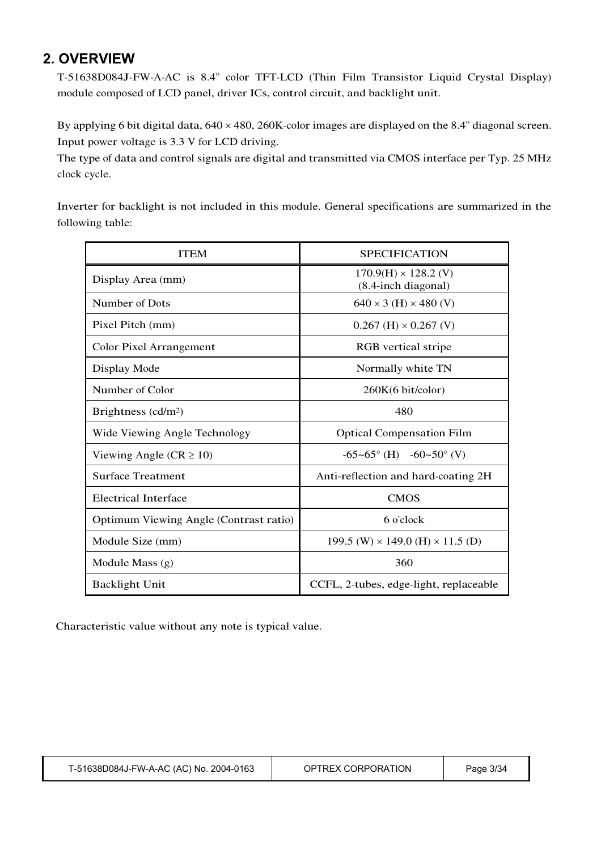### **2. OVERVIEW**

T-51638D084J-FW-A-AC is 8.4" color TFT-LCD (Thin Film Transistor Liquid Crystal Display) module composed of LCD panel, driver ICs, control circuit, and backlight unit.

By applying 6 bit digital data,  $640 \times 480$ ,  $260K$ -color images are displayed on the 8.4" diagonal screen. Input power voltage is 3.3 V for LCD driving.

The type of data and control signals are digital and transmitted via CMOS interface per Typ. 25 MHz clock cycle.

Inverter for backlight is not included in this module. General specifications are summarized in the following table:

| <b>ITEM</b>                            | <b>SPECIFICATION</b>                               |
|----------------------------------------|----------------------------------------------------|
| Display Area (mm)                      | $170.9(H) \times 128.2$ (V)<br>(8.4-inch diagonal) |
| Number of Dots                         | $640 \times 3$ (H) $\times$ 480 (V)                |
| Pixel Pitch (mm)                       | $0.267$ (H) $\times$ 0.267 (V)                     |
| <b>Color Pixel Arrangement</b>         | <b>RGB</b> vertical stripe                         |
| Display Mode                           | Normally white TN                                  |
| Number of Color                        | 260K(6 bit/color)                                  |
| Brightness $(cd/m2)$                   | 480                                                |
| Wide Viewing Angle Technology          | <b>Optical Compensation Film</b>                   |
| Viewing Angle ( $CR \ge 10$ )          | $-65-65^{\circ}$ (H) $-60-50^{\circ}$ (V)          |
| <b>Surface Treatment</b>               | Anti-reflection and hard-coating 2H                |
| <b>Electrical Interface</b>            | <b>CMOS</b>                                        |
| Optimum Viewing Angle (Contrast ratio) | 6 o'clock                                          |
| Module Size (mm)                       | 199.5 (W) $\times$ 149.0 (H) $\times$ 11.5 (D)     |
| Module Mass $(g)$                      | 360                                                |
| <b>Backlight Unit</b>                  | CCFL, 2-tubes, edge-light, replaceable             |

Characteristic value without any note is typical value.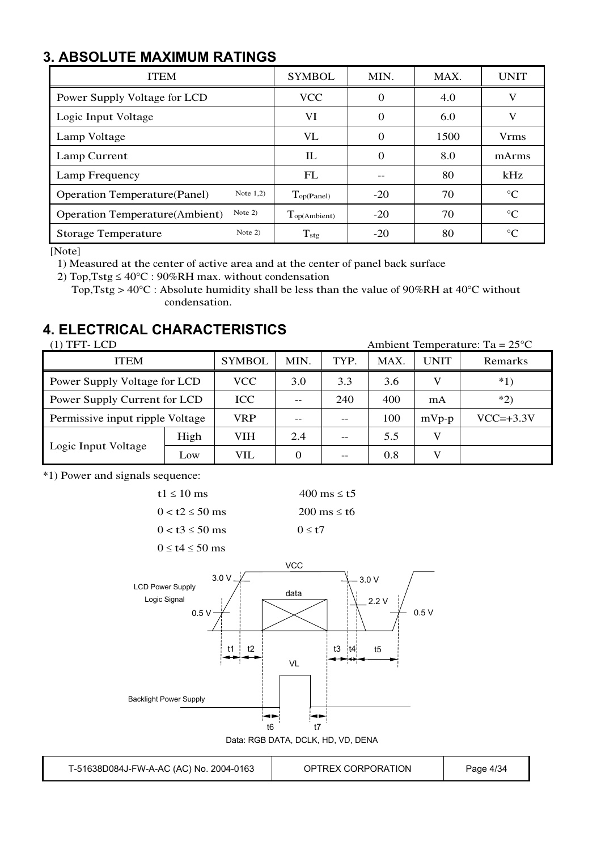### **3. ABSOLUTE MAXIMUM RATINGS**

| <b>ITEM</b>                                         | <b>SYMBOL</b>     | MIN.     | MAX. | <b>UNIT</b>     |
|-----------------------------------------------------|-------------------|----------|------|-----------------|
| Power Supply Voltage for LCD                        | <b>VCC</b>        | $\Omega$ | 4.0  | V               |
| Logic Input Voltage                                 | VI                | $\Omega$ | 6.0  | V               |
| Lamp Voltage                                        | VL                | 0        | 1500 | <b>Vrms</b>     |
| Lamp Current                                        | IL                | $\Omega$ | 8.0  | mArms           |
| Lamp Frequency                                      | FL                |          | 80   | kHz             |
| Note $1,2)$<br><b>Operation Temperature(Panel)</b>  | Top(Panel)        | $-20$    | 70   | $\rm ^{\circ}C$ |
| Note $2)$<br><b>Operation Temperature</b> (Ambient) | $T_{op(Ambient)}$ | $-20$    | 70   | $^{\circ}C$     |
| Note $2)$<br><b>Storage Temperature</b>             | $T_{\rm stg}$     | $-20$    | 80   | $\rm ^{\circ}C$ |

[Note]

1) Measured at the center of active area and at the center of panel back surface

2) Top, Tstg  $\leq 40^{\circ}$ C : 90%RH max. without condensation

Top, Tstg >  $40^{\circ}$ C : Absolute humidity shall be less than the value of 90%RH at 40°C without condensation.

### **4. ELECTRICAL CHARACTERISTICS**

| (1) TFT- LCD<br>Ambient Temperature: $Ta = 25^{\circ}C$ |      |               |      |      |      |             |                |
|---------------------------------------------------------|------|---------------|------|------|------|-------------|----------------|
| <b>ITEM</b>                                             |      | <b>SYMBOL</b> | MIN. | TYP. | MAX. | <b>UNIT</b> | Remarks        |
| Power Supply Voltage for LCD                            |      | <b>VCC</b>    | 3.0  | 3.3  | 3.6  |             | $*1)$          |
| Power Supply Current for LCD                            |      | ICC           | --   | 240  | 400  | mA          | $*2)$          |
| Permissive input ripple Voltage                         |      | VRP           |      | --   | 100  | $mVp-p$     | $VCC=\pm 3.3V$ |
|                                                         | High | VIH           | 2.4  | --   | 5.5  | V           |                |
| Logic Input Voltage                                     | Low  | VIL           | 0    | --   | 0.8  |             |                |

\*1) Power and signals sequence:



 $0 \leq t4 \leq 50$  ms



T-51638D084J-FW-A-AC (AC) No. 2004-0163 OPTREX CORPORATION Page 4/34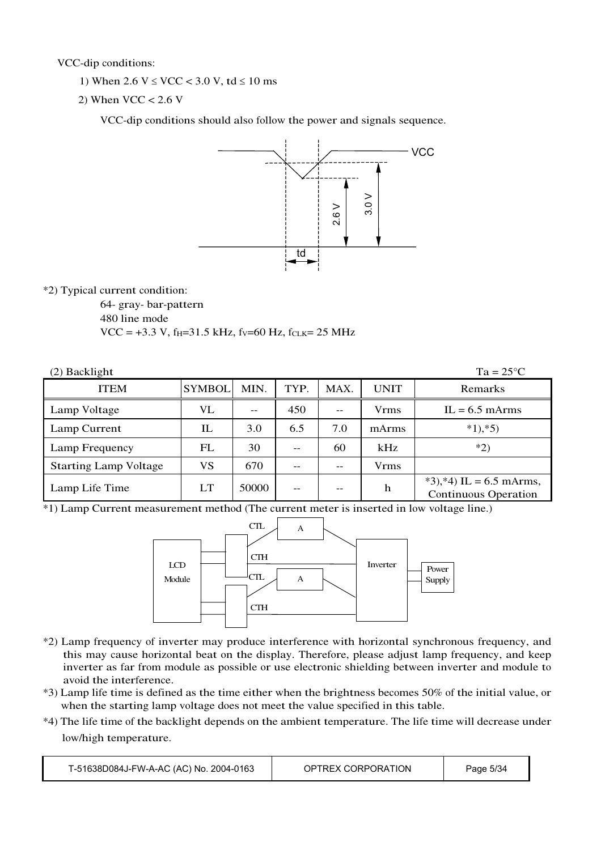VCC-dip conditions:

- 1) When  $2.6 \text{ V} \leq \text{VCC} < 3.0 \text{ V}$ , td  $\leq 10 \text{ ms}$
- 2) When  $VCC < 2.6$  V

VCC-dip conditions should also follow the power and signals sequence.



\*2) Typical current condition:

64- gray- bar-pattern

480 line mode

 $VCC = +3.3 V$ , f<sub>H</sub>=31.5 kHz, fv=60 Hz, f<sub>CLK</sub>= 25 MHz

| $Ta = 25^{\circ}C$<br>(2) Backlight |               |       |      |      |       |                                                        |  |  |
|-------------------------------------|---------------|-------|------|------|-------|--------------------------------------------------------|--|--|
| <b>ITEM</b>                         | <b>SYMBOL</b> | MIN.  | TYP. | MAX. | UNIT  | Remarks                                                |  |  |
| Lamp Voltage                        | VL            |       | 450  | $-$  | Vrms  | $IL = 6.5$ mArms                                       |  |  |
| Lamp Current                        | IL            | 3.0   | 6.5  | 7.0  | mArms | $*1, *5)$                                              |  |  |
| Lamp Frequency                      | FL            | 30    | --   | 60   | kHz   | $*2)$                                                  |  |  |
| <b>Starting Lamp Voltage</b>        | VS            | 670   |      | --   | Vrms  |                                                        |  |  |
| Lamp Life Time                      | LT            | 50000 | --   | --   | h     | *3),*4) IL = 6.5 mArms,<br><b>Continuous Operation</b> |  |  |

\*1) Lamp Current measurement method (The current meter is inserted in low voltage line.)



- \*2) Lamp frequency of inverter may produce interference with horizontal synchronous frequency, and this may cause horizontal beat on the display. Therefore, please adjust lamp frequency, and keep inverter as far from module as possible or use electronic shielding between inverter and module to avoid the interference.
- \*3) Lamp life time is defined as the time either when the brightness becomes 50% of the initial value, or when the starting lamp voltage does not meet the value specified in this table.
- \*4) The life time of the backlight depends on the ambient temperature. The life time will decrease under low/high temperature.

| T-51638D084J-FW-A-AC (AC) No. 2004-0163 | OPTREX CORPORATION | Page 5/34 |
|-----------------------------------------|--------------------|-----------|
|-----------------------------------------|--------------------|-----------|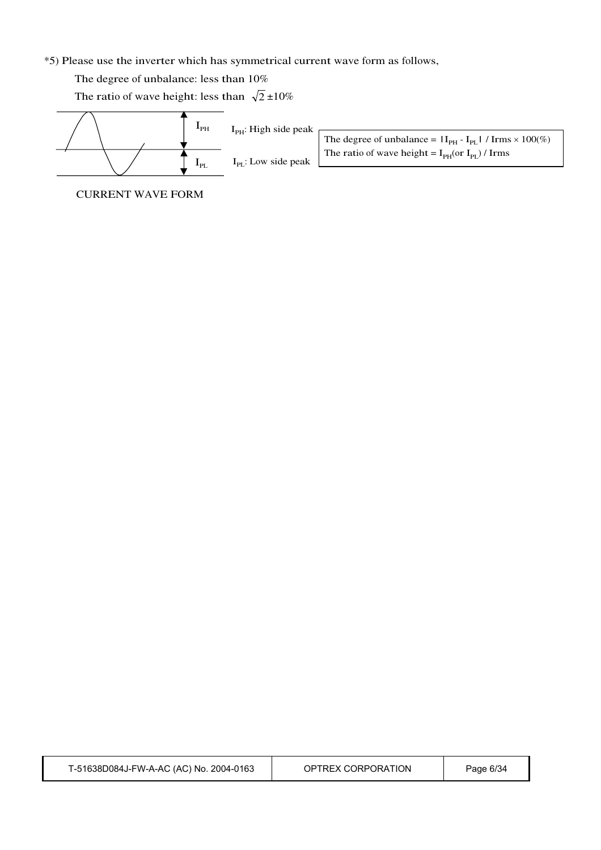#### \*5) Please use the inverter which has symmetrical current wave form as follows,

The degree of unbalance: less than 10%

The ratio of wave height: less than  $\sqrt{2} \pm 10\%$ 



The degree of unbalance =  $|I_{PH} - I_{PL}| / I \,$ rms  $\times 100\%$ ) The ratio of wave height =  $I_{PH}$ (or  $I_{PL}$ ) / Irms

CURRENT WAVE FORM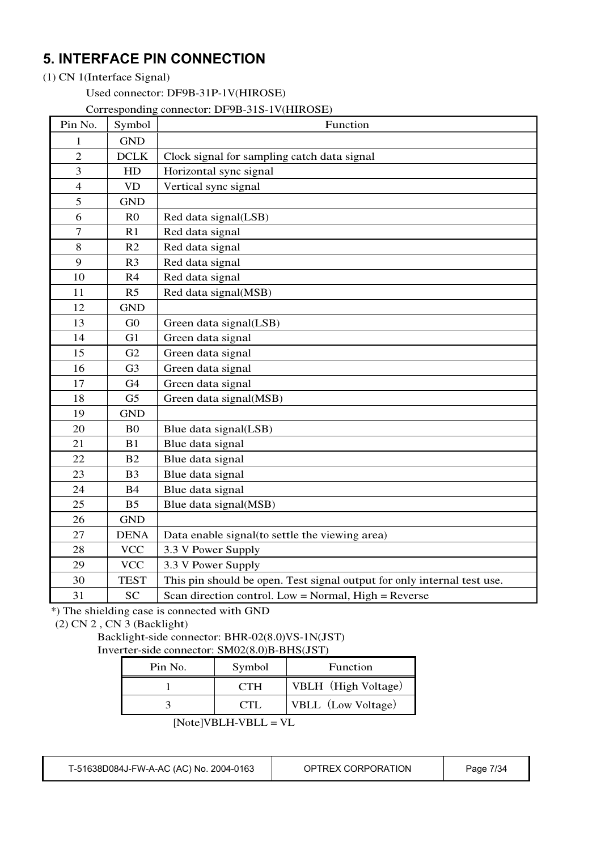### **5. INTERFACE PIN CONNECTION**

#### (1) CN 1(Interface Signal)

Used connector: DF9B-31P-1V(HIROSE)

Corresponding connector: DF9B-31S-1V(HIROSE)

| Pin No.        | Symbol         | Function                                                                |
|----------------|----------------|-------------------------------------------------------------------------|
| 1              | <b>GND</b>     |                                                                         |
| $\overline{2}$ | DCLK           | Clock signal for sampling catch data signal                             |
| 3              | HD             | Horizontal sync signal                                                  |
| $\overline{4}$ | <b>VD</b>      | Vertical sync signal                                                    |
| 5              | <b>GND</b>     |                                                                         |
| 6              | R <sub>0</sub> | Red data signal(LSB)                                                    |
| $\overline{7}$ | R1             | Red data signal                                                         |
| $8\,$          | R2             | Red data signal                                                         |
| 9              | R <sub>3</sub> | Red data signal                                                         |
| 10             | R <sub>4</sub> | Red data signal                                                         |
| 11             | R <sub>5</sub> | Red data signal(MSB)                                                    |
| 12             | <b>GND</b>     |                                                                         |
| 13             | G <sub>0</sub> | Green data signal(LSB)                                                  |
| 14             | G1             | Green data signal                                                       |
| 15             | G2             | Green data signal                                                       |
| 16             | G <sub>3</sub> | Green data signal                                                       |
| 17             | G <sub>4</sub> | Green data signal                                                       |
| 18             | G <sub>5</sub> | Green data signal(MSB)                                                  |
| 19             | <b>GND</b>     |                                                                         |
| 20             | B <sub>0</sub> | Blue data signal(LSB)                                                   |
| 21             | B1             | Blue data signal                                                        |
| 22             | B2             | Blue data signal                                                        |
| 23             | B <sub>3</sub> | Blue data signal                                                        |
| 24             | <b>B4</b>      | Blue data signal                                                        |
| 25             | B <sub>5</sub> | Blue data signal(MSB)                                                   |
| 26             | <b>GND</b>     |                                                                         |
| 27             | <b>DENA</b>    | Data enable signal(to settle the viewing area)                          |
| 28             | <b>VCC</b>     | 3.3 V Power Supply                                                      |
| 29             | <b>VCC</b>     | 3.3 V Power Supply                                                      |
| 30             | <b>TEST</b>    | This pin should be open. Test signal output for only internal test use. |
| 31             | <b>SC</b>      | Scan direction control. Low = Normal, $High = Reverse$                  |

\*) The shielding case is connected with GND

(2) CN 2 , CN 3 (Backlight)

#### Backlight-side connector: BHR-02(8.0)VS-1N(JST) Inverter-side connector: SM02(8.0)B-BHS(JST)

| Pin No. | Symbol     | <b>Function</b>     |
|---------|------------|---------------------|
|         | CTH.       | VBLH (High Voltage) |
|         | <b>CTI</b> | VBLL (Low Voltage)  |
|         |            |                     |

[Note]VBLH-VBLL <sup>=</sup> VL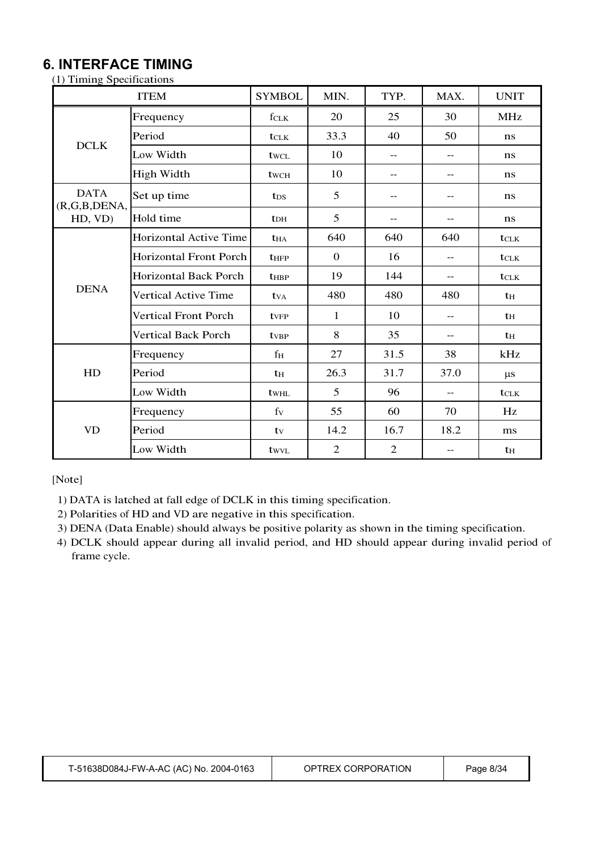### **6. INTERFACE TIMING**

| (1) Timing Specifications |  |  |
|---------------------------|--|--|
|                           |  |  |

|                                | <b>ITEM</b>                   | <b>SYMBOL</b>          | MIN.             | TYP.           | MAX.              | <b>UNIT</b> |
|--------------------------------|-------------------------------|------------------------|------------------|----------------|-------------------|-------------|
|                                | Frequency                     | fclk                   | 20               | 25             | 30                | <b>MHz</b>  |
| <b>DCLK</b>                    | Period                        | tclk                   | 33.3             | 40             | 50                | ns          |
|                                | Low Width                     | twcl                   | 10               | $- -$          | $-$               | ns          |
|                                | <b>High Width</b>             | twc <sub>H</sub>       | 10               | $-$            | $-$               | ns          |
| <b>DATA</b><br>(R, G, B, DEMA, | Set up time                   | t <sub>DS</sub>        | 5                | $-$            | $-$ -             | ns          |
| HD, VD)                        | Hold time                     | <b>t</b> <sub>DH</sub> | 5                |                | $-$ -             | ns          |
|                                | <b>Horizontal Active Time</b> | <b>t</b> HA            | 640              | 640            | 640               | tclk        |
|                                | <b>Horizontal Front Porch</b> | <b>t</b> HFP           | $\boldsymbol{0}$ | 16             | $\qquad \qquad -$ | tclk        |
|                                | <b>Horizontal Back Porch</b>  | <b>t</b> HBP           | 19               | 144            | $-$               | tclk        |
| <b>DENA</b>                    | <b>Vertical Active Time</b>   | $t_{VA}$               | 480              | 480            | 480               | $t_{\rm H}$ |
|                                | <b>Vertical Front Porch</b>   | tvFP                   | $\mathbf{1}$     | 10             | $-$               | th          |
|                                | <b>Vertical Back Porch</b>    | tv <sub>BP</sub>       | 8                | 35             | $-$               | th          |
|                                | Frequency                     | f <sub>H</sub>         | 27               | 31.5           | 38                | kHz         |
| HD                             | Period                        | $t_{\rm H}$            | 26.3             | 31.7           | 37.0              | $\mu s$     |
|                                | Low Width                     | twhl                   | 5                | 96             | $-$               | tclk        |
|                                | Frequency                     | $f_V$                  | 55               | 60             | 70                | Hz          |
| <b>VD</b>                      | Period                        | tv                     | 14.2             | 16.7           | 18.2              | ms          |
|                                | Low Width                     | twyl                   | $\overline{2}$   | $\overline{2}$ | --                | th          |

[Note]

1) DATA is latched at fall edge of DCLK in this timing specification.

2) Polarities of HD and VD are negative in this specification.

3) DENA (Data Enable) should always be positive polarity as shown in the timing specification.

4) DCLK should appear during all invalid period, and HD should appear during invalid period of frame cycle.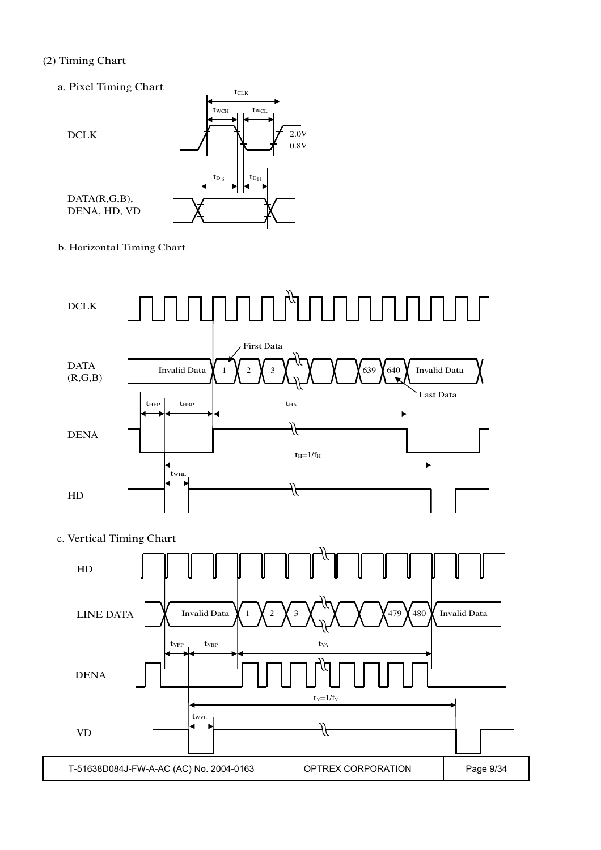#### (2) Timing Chart

a. Pixel Timing Chart



b. Horizontal Timing Chart

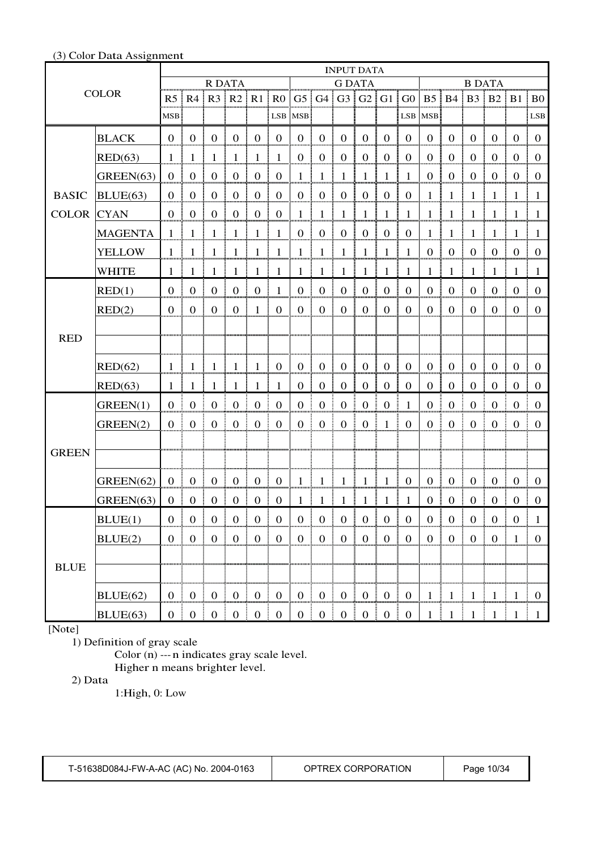## INPUT DATA R DATA G DATA B DATA  $\text{COLOR}$   $\text{R5}$  R4 R3 R2 R1 R0 G5 G4 G3 G2 G1 G0 B5 B4 B3 B2 B1 B0 MSB – I LSB MSB – I LSB MSB – I LSB MSB – I LSB BLACK 0 0 0 0 0 0 0 0 0 0 0 0 0 0 0 0 0 0 RED(63) 1 1 1 1 1 1 0 0 0 0 0 0 0 0 0 0 0 0  $GREEN(63) | 0 | 0 | 0 | 0 | 0 | 0 | 0 | 1 | 1 | 1 | 1 | 1 | 1 | 0 | 0 | 0 | 0 | 0 | 0$ BLUE(63) 0 0 0 0 0 0 0 0 0 0 0 0 1 1 1 1 1 1 CYAN 0 0 0 0 0 0 1 1 1 1 1 1 1 1 1 1 1 1 MAGENTA 1 1 1 1 1 1 0 0 0 0 0 0 1 1 1 1 1 1 YELLOW  $1$  1 1 1 1 1 1 1 1 1 1 1 1 1 1 1 1 1 0 0 0 0 0 0 0 0 0 BASIC COLOR CYAN WHITE 1 1 1 1 1 1 1 1 1 1 1 1 1 1 1 1 1 1 RED(1) 0 0 0 0 0 1 0 0 0 0 0 0 0 0 0 0 0 0 RED(2) 0 0 0 0 1 0 0 0 0 0 0 0 0 0 0 0 0 0 RED(62) 1 1 1 1 1 0 0 0 0 0 0 0 0 0 0 0 0 0 RED RED(63) 1 1 1 1 1 1 0 0 0 0 0 0 0 0 0 0 0 0 GREEN(1) 0 0 0 0 0 0 0 0 0 0 0 1 0 0 0 0 0 0  $GREEN(2) | 0 | 0 | 0 | 0 | 0 | 0 | 0 | 0 | 0 | 0 | 0 | 0 | 1 | 0 | 0 | 0 | 0 | 0 | 0 | 0$ GREEN(62) |  $0 \mid 0 \mid 0 \mid 0 \mid 0 \mid 0 \mid 0 \mid 1 \mid 1 \mid 1 \mid 1 \mid 1 \mid 1 \mid 0 \mid 0 \mid 0 \mid 0 \mid 0 \mid 0 \mid 0$ **GREEN** GREEN(63) 0 0 0 0 0 0 1 1 1 1 1 1 0 0 0 0 0 0 BLUE(1) 0 0 0 0 0 0 0 0 0 0 0 0 0 0 0 0 0 1 BLUE(2) 0 0 0 0 0 0 0 0 0 0 0 0 0 0 0 0 1 0 BLUE(62) 0 0 0 0 0 0 0 0 0 0 0 0 1 1 1 1 1 0 **BLUE** BLUE(63) 0 0 0 0 0 0 0 0 0 0 0 0 1 1 1 1 1 1

#### (3) Color Data Assignment

[Note]

1) Definition of gray scale

Color (n) --- n indicates gray scale level. Higher n means brighter level.

2) Data

1:High, 0: Low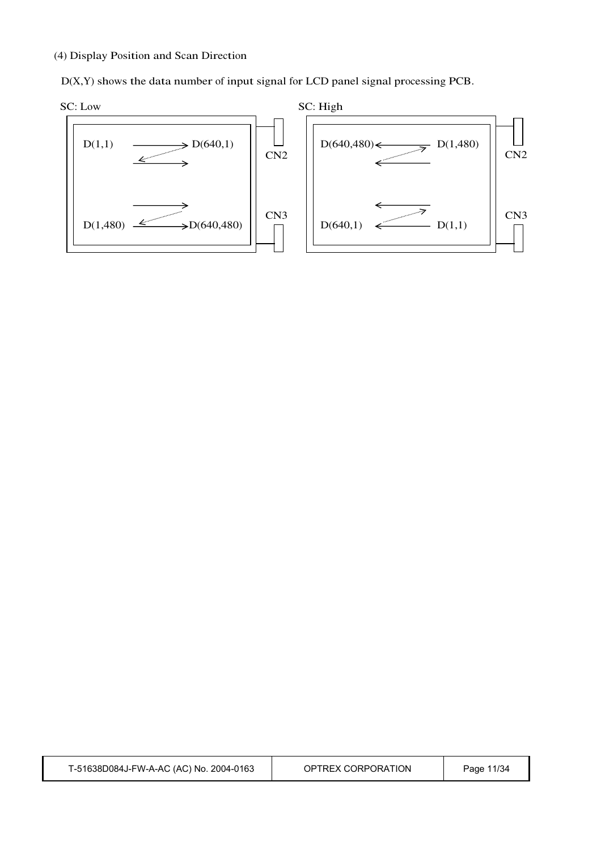#### (4) Display Position and Scan Direction

D(X,Y) shows the data number of input signal for LCD panel signal processing PCB.

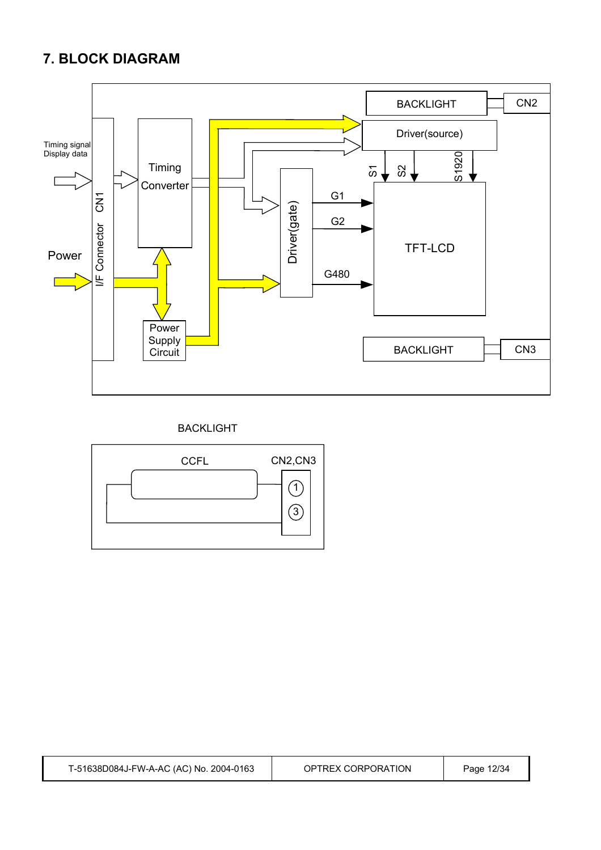### **7. BLOCK DIAGRAM**



### BACKLIGHT

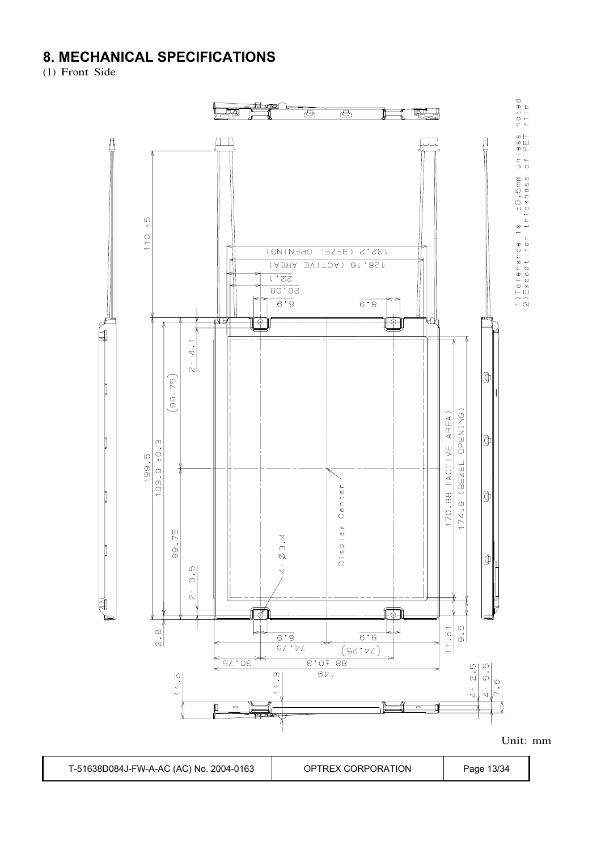### **8. MECHANICAL SPECIFICATIONS**

(1) Front Side

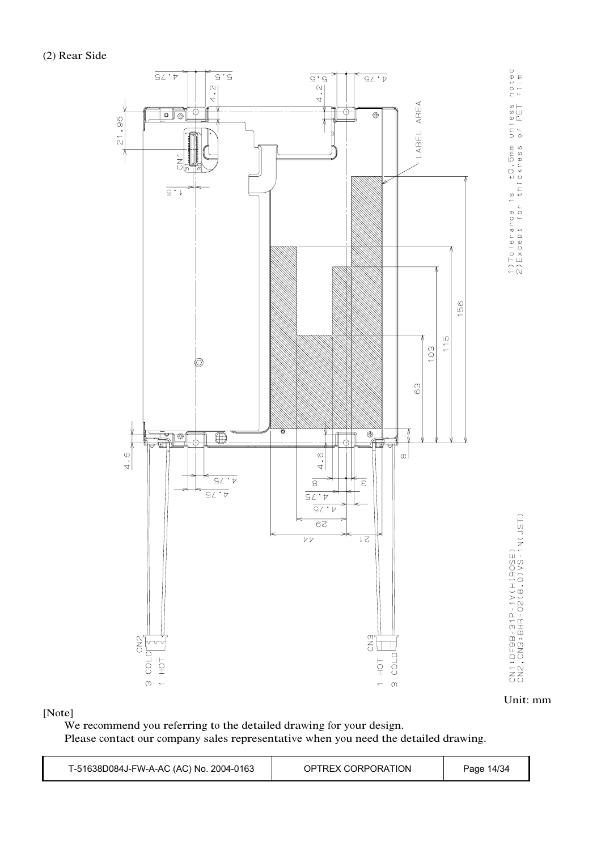

Unit: mm

[Note]

We recommend you referring to the detailed drawing for your design. Please contact our company sales representative when you need the detailed drawing.

| T-51638D084J-FW-A-AC (AC) No. 2004-0163 | OPTREX CORPORATION | Page 14/34 |
|-----------------------------------------|--------------------|------------|
|-----------------------------------------|--------------------|------------|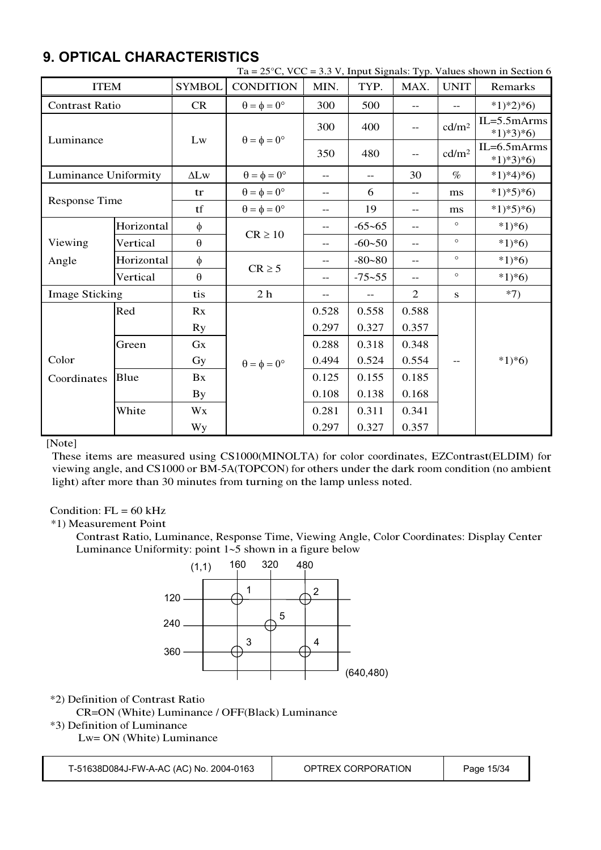### **9. OPTICAL CHARACTERISTICS**

|                       | Ta = $25^{\circ}$ C, VCC = 3.3 V, Input Signals: Typ. Values shown in Section 6 |                       |                             |            |            |                          |                   |                               |
|-----------------------|---------------------------------------------------------------------------------|-----------------------|-----------------------------|------------|------------|--------------------------|-------------------|-------------------------------|
| <b>ITEM</b>           |                                                                                 | <b>SYMBOL</b>         | <b>CONDITION</b>            | MIN.       | TYP.       | MAX.                     | <b>UNIT</b>       | Remarks                       |
| <b>Contrast Ratio</b> |                                                                                 | <b>CR</b>             | $\theta = \phi = 0^{\circ}$ | 300        | 500        | $-$                      | $-$               | $*1)*2*6$                     |
|                       |                                                                                 | Lw                    |                             | 300        | 400        | $- -$                    | cd/m <sup>2</sup> | $IL = 5.5 mArms$<br>$*1)*3*6$ |
| Luminance             |                                                                                 |                       | $\theta = \phi = 0^{\circ}$ | 350        | 480        | $\overline{\phantom{m}}$ | cd/m <sup>2</sup> | $IL=6.5mArms$<br>$*1)*3*6$    |
| Luminance Uniformity  |                                                                                 | $\Delta L$ w          | $\theta = \phi = 0^{\circ}$ | $-$        | $-$        | 30                       | $\%$              | $*1)*4*6$                     |
|                       |                                                                                 | <sub>tr</sub>         | $\theta = \phi = 0^{\circ}$ | $-$        | 6          | $- -$                    | ms                | $*1*5*6$                      |
| <b>Response Time</b>  |                                                                                 | tf                    | $\theta = \phi = 0^{\circ}$ | $-$        | 19         | $-$                      | ms                | $*1*5*6$                      |
|                       | Horizontal<br>$\phi$                                                            |                       | $-$                         | $-65 - 65$ | $-$        | $\circ$                  | $*1*6$            |                               |
| Viewing               | Vertical                                                                        | $\boldsymbol{\theta}$ | $CR \ge 10$                 | $-$        | $-60 - 50$ | $-$                      | $\circ$           | $*1*6$                        |
| Angle                 | Horizontal                                                                      | $\phi$                |                             | $-$        | $-80 - 80$ | $-$                      | $\circ$           | $*1*6)$                       |
|                       | Vertical                                                                        | $\theta$              | $CR \geq 5$                 | $-$        | $-75 - 55$ | $-$                      | $\circ$           | $*1*6$                        |
| <b>Image Sticking</b> |                                                                                 | tis                   | 2 <sub>h</sub>              | $- -$      | $-\,-$     | $\overline{2}$           | ${\bf S}$         | $*7)$                         |
|                       | Red                                                                             | Rx                    |                             | 0.528      | 0.558      | 0.588                    |                   |                               |
|                       |                                                                                 | Ry                    |                             | 0.297      | 0.327      | 0.357                    |                   |                               |
|                       | Green                                                                           | GX                    |                             | 0.288      | 0.318      | 0.348                    |                   |                               |
| Color                 |                                                                                 | Gy                    | $\theta = \phi = 0^{\circ}$ | 0.494      | 0.524      | 0.554                    | $- -$             | $*1*6$                        |
| Coordinates           | Blue                                                                            | Bx                    |                             | 0.125      | 0.155      | 0.185                    |                   |                               |
|                       |                                                                                 | By                    |                             | 0.108      | 0.138      | 0.168                    |                   |                               |
|                       | White                                                                           | Wx                    |                             | 0.281      | 0.311      | 0.341                    |                   |                               |
|                       |                                                                                 | Wy                    |                             | 0.297      | 0.327      | 0.357                    |                   |                               |

[Note]

These items are measured using CS1000(MINOLTA) for color coordinates, EZContrast(ELDIM) for viewing angle, and CS1000 or BM-5A(TOPCON) for others under the dark room condition (no ambient light) after more than 30 minutes from turning on the lamp unless noted.

#### Condition:  $FL = 60 kHz$

\*1) Measurement Point

Contrast Ratio, Luminance, Response Time, Viewing Angle, Color Coordinates: Display Center Luminance Uniformity: point  $1-5$  shown in a figure below



\*2) Definition of Contrast Ratio

CR=ON (White) Luminance / OFF(Black) Luminance

#### \*3) Definition of Luminance

Lw= ON (White) Luminance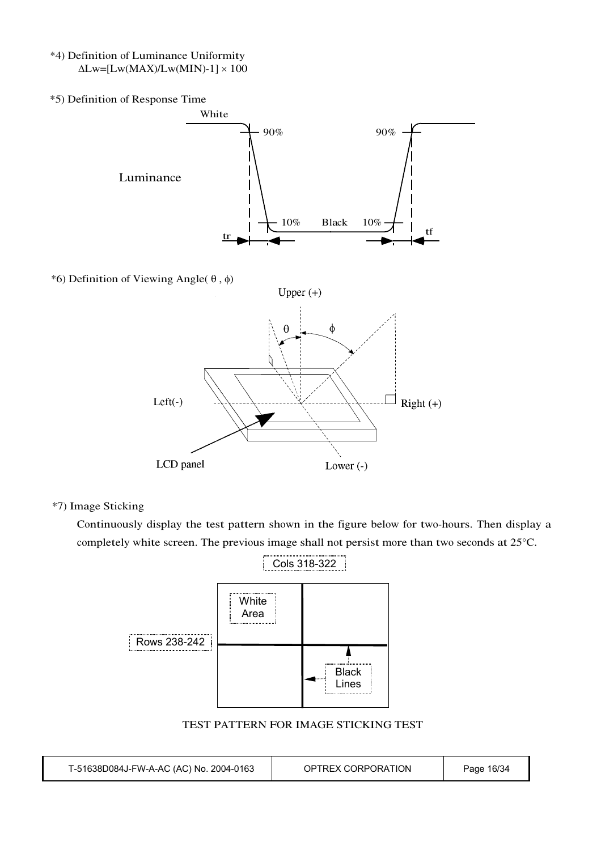- \*4) Definition of Luminance Uniformity  $\Delta$ Lw=[Lw(MAX)/Lw(MIN)-1]  $\times$  100
- \*5) Definition of Response Time White 90% 90% Luminance 10% Black 10%  $\begin{array}{c|c|c|c|c|c|c|c|c} \hline \text{tr} & \text{tr} & \text{tr} \end{array}$ \*6) Definition of Viewing Angle( $\theta$ , $\phi$ ) Upper $(+)$  $\phi$ θ  $Left(-)$  $\perp$  Right (+) LCD panel Lower $(-)$

\*7) Image Sticking

Continuously display the test pattern shown in the figure below for two-hours. Then display a completely white screen. The previous image shall not persist more than two seconds at 25°C.



TEST PATTERN FOR IMAGE STICKING TEST

| T-51638D084J-FW-A-AC (AC) No. 2004-0163 | OPTREX CORPORATION | Page 16/34 |
|-----------------------------------------|--------------------|------------|
|-----------------------------------------|--------------------|------------|